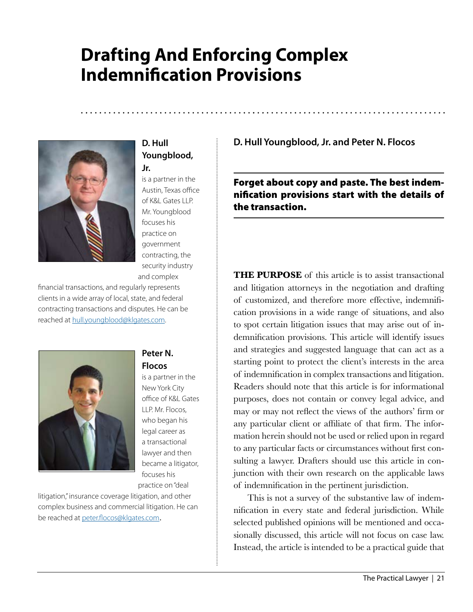# **Drafting And Enforcing Complex Indemnification Provisions**



## **D. Hull Youngblood, Jr.**

is a partner in the Austin, Texas office of K&L Gates LLP. Mr. Youngblood focuses his practice on government contracting, the security industry and complex

financial transactions, and regularly represents clients in a wide array of local, state, and federal contracting transactions and disputes. He can be reached at [hull.youngblood@klgates.com](mailto:hull.youngblood@klgates.com).



#### **Peter N. Flocos**

is a partner in the New York City office of K&L Gates LLP. Mr. Flocos, who began his legal career as a transactional lawyer and then became a litigator, focuses his practice on "deal

litigation," insurance coverage litigation, and other complex business and commercial litigation. He can be reached at [peter.flocos@klgates.com](mailto:peter.flocos@klgates.com).

**D. Hull Youngblood, Jr. and Peter N. Flocos**

Forget about copy and paste. The best indemnification provisions start with the details of the transaction.

**THE PURPOSE** of this article is to assist transactional and litigation attorneys in the negotiation and drafting of customized, and therefore more effective, indemnification provisions in a wide range of situations, and also to spot certain litigation issues that may arise out of indemnification provisions. This article will identify issues and strategies and suggested language that can act as a starting point to protect the client's interests in the area of indemnification in complex transactions and litigation. Readers should note that this article is for informational purposes, does not contain or convey legal advice, and may or may not reflect the views of the authors' firm or any particular client or affiliate of that firm. The information herein should not be used or relied upon in regard to any particular facts or circumstances without first consulting a lawyer. Drafters should use this article in conjunction with their own research on the applicable laws of indemnification in the pertinent jurisdiction.

This is not a survey of the substantive law of indemnification in every state and federal jurisdiction. While selected published opinions will be mentioned and occasionally discussed, this article will not focus on case law. Instead, the article is intended to be a practical guide that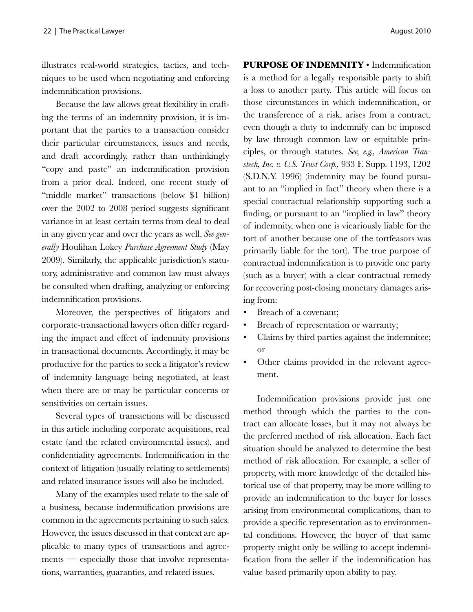illustrates real-world strategies, tactics, and techniques to be used when negotiating and enforcing indemnification provisions.

Because the law allows great flexibility in crafting the terms of an indemnity provision, it is important that the parties to a transaction consider their particular circumstances, issues and needs, and draft accordingly, rather than unthinkingly "copy and paste" an indemnification provision from a prior deal. Indeed, one recent study of "middle market" transactions (below \$1 billion) over the 2002 to 2008 period suggests significant variance in at least certain terms from deal to deal in any given year and over the years as well. *See generally* Houlihan Lokey *Purchase Agreement Study* (May 2009). Similarly, the applicable jurisdiction's statutory, administrative and common law must always be consulted when drafting, analyzing or enforcing indemnification provisions.

Moreover, the perspectives of litigators and corporate-transactional lawyers often differ regarding the impact and effect of indemnity provisions in transactional documents. Accordingly, it may be productive for the parties to seek a litigator's review of indemnity language being negotiated, at least when there are or may be particular concerns or sensitivities on certain issues.

Several types of transactions will be discussed in this article including corporate acquisitions, real estate (and the related environmental issues), and confidentiality agreements. Indemnification in the context of litigation (usually relating to settlements) and related insurance issues will also be included.

Many of the examples used relate to the sale of a business, because indemnification provisions are common in the agreements pertaining to such sales. However, the issues discussed in that context are applicable to many types of transactions and agreements — especially those that involve representations, warranties, guaranties, and related issues.

**PURPOSE OF INDEMNITY** • Indemnification is a method for a legally responsible party to shift a loss to another party. This article will focus on those circumstances in which indemnification, or the transference of a risk, arises from a contract, even though a duty to indemnify can be imposed by law through common law or equitable principles, or through statutes. *See, e.g., American Transtech, Inc. v. U.S. Trust Corp.,* 933 F. Supp. 1193, 1202 (S.D.N.Y. 1996) (indemnity may be found pursuant to an "implied in fact" theory when there is a special contractual relationship supporting such a finding, or pursuant to an "implied in law" theory of indemnity, when one is vicariously liable for the tort of another because one of the tortfeasors was primarily liable for the tort). The true purpose of contractual indemnification is to provide one party (such as a buyer) with a clear contractual remedy for recovering post-closing monetary damages arising from:

- Breach of a covenant:
- Breach of representation or warranty;
- Claims by third parties against the indemnitee; or
- Other claims provided in the relevant agreement.

Indemnification provisions provide just one method through which the parties to the contract can allocate losses, but it may not always be the preferred method of risk allocation. Each fact situation should be analyzed to determine the best method of risk allocation. For example, a seller of property, with more knowledge of the detailed historical use of that property, may be more willing to provide an indemnification to the buyer for losses arising from environmental complications, than to provide a specific representation as to environmental conditions. However, the buyer of that same property might only be willing to accept indemnification from the seller if the indemnification has value based primarily upon ability to pay.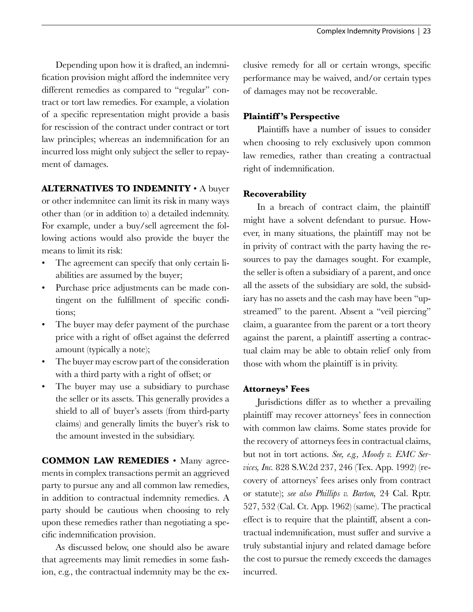Depending upon how it is drafted, an indemnification provision might afford the indemnitee very different remedies as compared to "regular" contract or tort law remedies. For example, a violation of a specific representation might provide a basis for rescission of the contract under contract or tort law principles; whereas an indemnification for an incurred loss might only subject the seller to repayment of damages.

#### **ALTERNATIVES TO INDEMNITY** • A buyer

or other indemnitee can limit its risk in many ways other than (or in addition to) a detailed indemnity. For example, under a buy/sell agreement the following actions would also provide the buyer the means to limit its risk:

- The agreement can specify that only certain liabilities are assumed by the buyer;
- Purchase price adjustments can be made contingent on the fulfillment of specific conditions;
- The buyer may defer payment of the purchase price with a right of offset against the deferred amount (typically a note);
- The buyer may escrow part of the consideration with a third party with a right of offset; or
- The buyer may use a subsidiary to purchase the seller or its assets. This generally provides a shield to all of buyer's assets (from third-party claims) and generally limits the buyer's risk to the amount invested in the subsidiary.

**COMMON LAW REMEDIES** • Many agreements in complex transactions permit an aggrieved party to pursue any and all common law remedies, in addition to contractual indemnity remedies. A party should be cautious when choosing to rely upon these remedies rather than negotiating a specific indemnification provision.

As discussed below, one should also be aware that agreements may limit remedies in some fashion, e.g., the contractual indemnity may be the exclusive remedy for all or certain wrongs, specific performance may be waived, and/or certain types of damages may not be recoverable.

## **Plaintiff 's Perspective**

Plaintiffs have a number of issues to consider when choosing to rely exclusively upon common law remedies, rather than creating a contractual right of indemnification.

## **Recoverability**

In a breach of contract claim, the plaintiff might have a solvent defendant to pursue. However, in many situations, the plaintiff may not be in privity of contract with the party having the resources to pay the damages sought. For example, the seller is often a subsidiary of a parent, and once all the assets of the subsidiary are sold, the subsidiary has no assets and the cash may have been "upstreamed" to the parent. Absent a "veil piercing" claim, a guarantee from the parent or a tort theory against the parent, a plaintiff asserting a contractual claim may be able to obtain relief only from those with whom the plaintiff is in privity.

## **Attorneys' Fees**

Jurisdictions differ as to whether a prevailing plaintiff may recover attorneys' fees in connection with common law claims. Some states provide for the recovery of attorneys fees in contractual claims, but not in tort actions. *See, e.g., Moody v. EMC Services, Inc.* 828 S.W.2d 237, 246 (Tex. App. 1992) (recovery of attorneys' fees arises only from contract or statute); *see also Phillips v. Barton,* 24 Cal. Rptr. 527, 532 (Cal. Ct. App. 1962) (same). The practical effect is to require that the plaintiff, absent a contractual indemnification, must suffer and survive a truly substantial injury and related damage before the cost to pursue the remedy exceeds the damages incurred.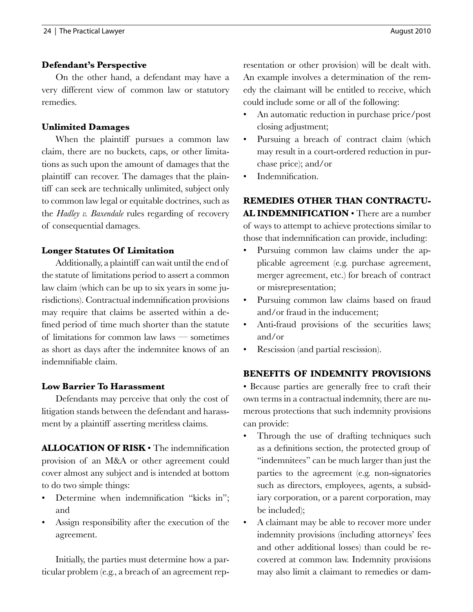## **Defendant's Perspective**

On the other hand, a defendant may have a very different view of common law or statutory remedies.

## **Unlimited Damages**

When the plaintiff pursues a common law claim, there are no buckets, caps, or other limitations as such upon the amount of damages that the plaintiff can recover. The damages that the plaintiff can seek are technically unlimited, subject only to common law legal or equitable doctrines, such as the *Hadley v. Baxendale* rules regarding of recovery of consequential damages.

## **Longer Statutes Of Limitation**

Additionally, a plaintiff can wait until the end of the statute of limitations period to assert a common law claim (which can be up to six years in some jurisdictions). Contractual indemnification provisions may require that claims be asserted within a defined period of time much shorter than the statute of limitations for common law laws — sometimes as short as days after the indemnitee knows of an indemnifiable claim.

## **Low Barrier To Harassment**

Defendants may perceive that only the cost of litigation stands between the defendant and harassment by a plaintiff asserting meritless claims.

**ALLOCATION OF RISK** • The indemnification provision of an M&A or other agreement could cover almost any subject and is intended at bottom to do two simple things:

- Determine when indemnification "kicks in"; and
- Assign responsibility after the execution of the agreement.

Initially, the parties must determine how a particular problem (e.g., a breach of an agreement representation or other provision) will be dealt with. An example involves a determination of the remedy the claimant will be entitled to receive, which could include some or all of the following:

- An automatic reduction in purchase price/post closing adjustment;
- Pursuing a breach of contract claim (which may result in a court-ordered reduction in purchase price); and/or
- Indemnification.

**REMEDIES OTHER THAN CONTRACTU-AL INDEMNIFICATION** • There are a number of ways to attempt to achieve protections similar to those that indemnification can provide, including:

- Pursuing common law claims under the applicable agreement (e.g. purchase agreement, merger agreement, etc.) for breach of contract or misrepresentation;
- Pursuing common law claims based on fraud and/or fraud in the inducement;
- Anti-fraud provisions of the securities laws; and/or
- Rescission (and partial rescission).

# **BENEFITS OF INDEMNITY PROVISIONS**

• Because parties are generally free to craft their own terms in a contractual indemnity, there are numerous protections that such indemnity provisions can provide:

- Through the use of drafting techniques such as a definitions section, the protected group of "indemnitees" can be much larger than just the parties to the agreement (e.g. non-signatories such as directors, employees, agents, a subsidiary corporation, or a parent corporation, may be included);
- A claimant may be able to recover more under indemnity provisions (including attorneys' fees and other additional losses) than could be recovered at common law. Indemnity provisions may also limit a claimant to remedies or dam-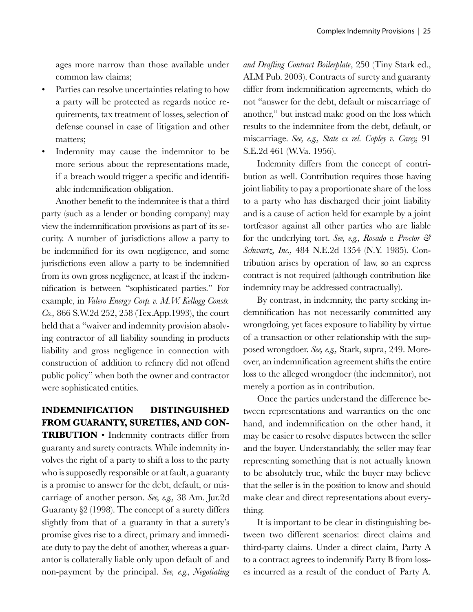ages more narrow than those available under common law claims;

- Parties can resolve uncertainties relating to how a party will be protected as regards notice requirements, tax treatment of losses, selection of defense counsel in case of litigation and other matters;
- Indemnity may cause the indemnitor to be more serious about the representations made, if a breach would trigger a specific and identifiable indemnification obligation.

Another benefit to the indemnitee is that a third party (such as a lender or bonding company) may view the indemnification provisions as part of its security. A number of jurisdictions allow a party to be indemnified for its own negligence, and some jurisdictions even allow a party to be indemnified from its own gross negligence, at least if the indemnification is between "sophisticated parties." For example, in *Valero Energy Corp. v. M.W. Kellogg Constr. Co.,* 866 S.W.2d 252, 258 (Tex.App.1993), the court held that a "waiver and indemnity provision absolving contractor of all liability sounding in products liability and gross negligence in connection with construction of addition to refinery did not offend public policy" when both the owner and contractor were sophisticated entities.

# **INDEMNIFICATION DISTINGUISHED FROM GUARANTY, SURETIES, AND CON-**

**TRIBUTION** • Indemnity contracts differ from guaranty and surety contracts. While indemnity involves the right of a party to shift a loss to the party who is supposedly responsible or at fault, a guaranty is a promise to answer for the debt, default, or miscarriage of another person. *See, e.g.,* 38 Am. Jur.2d Guaranty §2 (1998). The concept of a surety differs slightly from that of a guaranty in that a surety's promise gives rise to a direct, primary and immediate duty to pay the debt of another, whereas a guarantor is collaterally liable only upon default of and non-payment by the principal. *See, e.g., Negotiating*  *and Drafting Contract Boilerplate*, 250 (Tiny Stark ed., ALM Pub. 2003). Contracts of surety and guaranty differ from indemnification agreements, which do not "answer for the debt, default or miscarriage of another," but instead make good on the loss which results to the indemnitee from the debt, default, or miscarriage. *See, e.g., State ex rel. Copley v. Carey,* 91 S.E.2d 461 (W.Va. 1956).

Indemnity differs from the concept of contribution as well. Contribution requires those having joint liability to pay a proportionate share of the loss to a party who has discharged their joint liability and is a cause of action held for example by a joint tortfeasor against all other parties who are liable for the underlying tort. *See, e.g., Rosado v. Proctor & Schwartz, Inc.,* 484 N.E.2d 1354 (N.Y. 1985). Contribution arises by operation of law, so an express contract is not required (although contribution like indemnity may be addressed contractually).

By contrast, in indemnity, the party seeking indemnification has not necessarily committed any wrongdoing, yet faces exposure to liability by virtue of a transaction or other relationship with the supposed wrongdoer. *See, e.g.,* Stark, supra, 249. Moreover, an indemnification agreement shifts the entire loss to the alleged wrongdoer (the indemnitor), not merely a portion as in contribution.

Once the parties understand the difference between representations and warranties on the one hand, and indemnification on the other hand, it may be easier to resolve disputes between the seller and the buyer. Understandably, the seller may fear representing something that is not actually known to be absolutely true, while the buyer may believe that the seller is in the position to know and should make clear and direct representations about everything.

It is important to be clear in distinguishing between two different scenarios: direct claims and third-party claims. Under a direct claim, Party A to a contract agrees to indemnify Party B from losses incurred as a result of the conduct of Party A.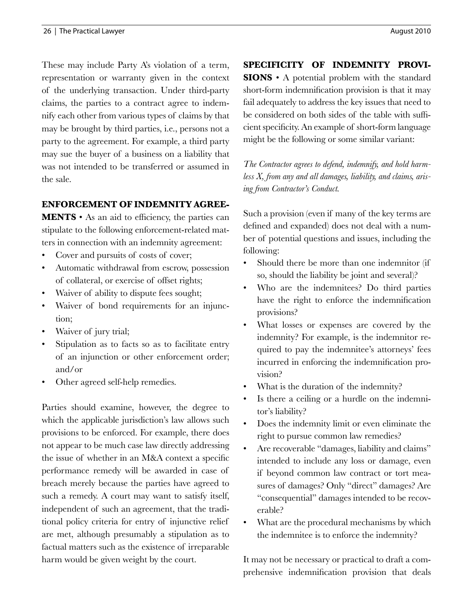These may include Party A's violation of a term, representation or warranty given in the context of the underlying transaction. Under third-party claims, the parties to a contract agree to indemnify each other from various types of claims by that may be brought by third parties, i.e., persons not a party to the agreement. For example, a third party may sue the buyer of a business on a liability that was not intended to be transferred or assumed in the sale.

## **Enforcement of Indemnity Agree-**

**MENTS** • As an aid to efficiency, the parties can stipulate to the following enforcement-related matters in connection with an indemnity agreement:

- Cover and pursuits of costs of cover;
- Automatic withdrawal from escrow, possession of collateral, or exercise of offset rights;
- Waiver of ability to dispute fees sought;
- Waiver of bond requirements for an injunction;
- Waiver of jury trial;
- Stipulation as to facts so as to facilitate entry of an injunction or other enforcement order; and/or
- Other agreed self-help remedies.

Parties should examine, however, the degree to which the applicable jurisdiction's law allows such provisions to be enforced. For example, there does not appear to be much case law directly addressing the issue of whether in an M&A context a specific performance remedy will be awarded in case of breach merely because the parties have agreed to such a remedy. A court may want to satisfy itself, independent of such an agreement, that the traditional policy criteria for entry of injunctive relief are met, although presumably a stipulation as to factual matters such as the existence of irreparable harm would be given weight by the court.

**SPECIFICITY OF INDEMNITY PROVI-SIONS** • A potential problem with the standard short-form indemnification provision is that it may fail adequately to address the key issues that need to be considered on both sides of the table with sufficient specificity. An example of short-form language might be the following or some similar variant:

*The Contractor agrees to defend, indemnify, and hold harmless X, from any and all damages, liability, and claims, arising from Contractor's Conduct.*

Such a provision (even if many of the key terms are defined and expanded) does not deal with a number of potential questions and issues, including the following:

- Should there be more than one indemnitor (if so, should the liability be joint and several)?
- Who are the indemnitees? Do third parties have the right to enforce the indemnification provisions?
- What losses or expenses are covered by the indemnity? For example, is the indemnitor required to pay the indemnitee's attorneys' fees incurred in enforcing the indemnification provision?
- What is the duration of the indemnity?
- Is there a ceiling or a hurdle on the indemnitor's liability?
- Does the indemnity limit or even eliminate the right to pursue common law remedies?
- Are recoverable "damages, liability and claims" intended to include any loss or damage, even if beyond common law contract or tort measures of damages? Only "direct" damages? Are "consequential" damages intended to be recoverable?
- What are the procedural mechanisms by which the indemnitee is to enforce the indemnity?

It may not be necessary or practical to draft a comprehensive indemnification provision that deals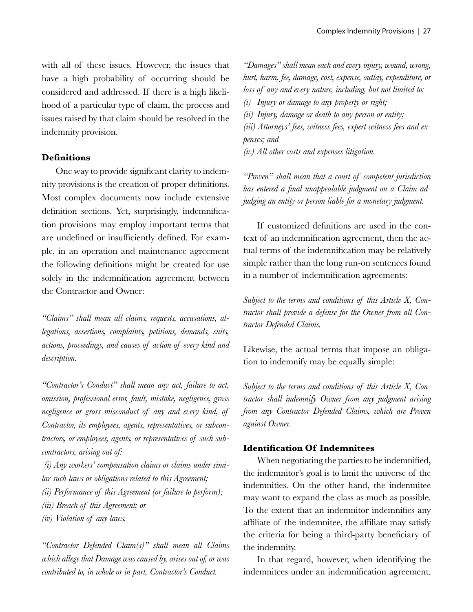with all of these issues. However, the issues that have a high probability of occurring should be considered and addressed. If there is a high likelihood of a particular type of claim, the process and issues raised by that claim should be resolved in the indemnity provision.

#### **Definitions**

One way to provide significant clarity to indemnity provisions is the creation of proper definitions. Most complex documents now include extensive definition sections. Yet, surprisingly, indemnification provisions may employ important terms that are undefined or insufficiently defined. For example, in an operation and maintenance agreement the following definitions might be created for use solely in the indemnification agreement between the Contractor and Owner:

*"Claims" shall mean all claims, requests, accusations, allegations, assertions, complaints, petitions, demands, suits, actions, proceedings, and causes of action of every kind and description.*

*"Contractor's Conduct" shall mean any act, failure to act, omission, professional error, fault, mistake, negligence, gross negligence or gross misconduct of any and every kind, of Contractor, its employees, agents, representatives, or subcontractors, or employees, agents, or representatives of such subcontractors, arising out of:*

 *(i) Any workers' compensation claims or claims under similar such laws or obligations related to this Agreement;*

- *(ii) Performance of this Agreement (or failure to perform);*
- *(iii) Breach of this Agreement; or*
- *(iv) Violation of any laws.*

*"Contractor Defended Claim(s)" shall mean all Claims which allege that Damage was caused by, arises out of, or was contributed to, in whole or in part, Contractor's Conduct.* 

*"Damages" shall mean each and every injury, wound, wrong, hurt, harm, fee, damage, cost, expense, outlay, expenditure, or loss of any and every nature, including, but not limited to:*

*(i) Injury or damage to any property or right;* 

*(ii) Injury, damage or death to any person or entity;*

*(iii) Attorneys' fees, witness fees, expert witness fees and expenses; and* 

*(iv) All other costs and expenses litigation.*

*"Proven" shall mean that a court of competent jurisdiction has entered a final unappealable judgment on a Claim adjudging an entity or person liable for a monetary judgment.*

If customized definitions are used in the context of an indemnification agreement, then the actual terms of the indemnification may be relatively simple rather than the long run-on sentences found in a number of indemnification agreements:

*Subject to the terms and conditions of this Article X, Contractor shall provide a defense for the Owner from all Contractor Defended Claims.*

Likewise, the actual terms that impose an obligation to indemnify may be equally simple:

*Subject to the terms and conditions of this Article X, Contractor shall indemnify Owner from any judgment arising from any Contractor Defended Claims, which are Proven against Owner.*

#### **Identification Of Indemnitees**

When negotiating the parties to be indemnified, the indemnitor's goal is to limit the universe of the indemnities. On the other hand, the indemnitee may want to expand the class as much as possible. To the extent that an indemnitor indemnifies any affiliate of the indemnitee, the affiliate may satisfy the criteria for being a third-party beneficiary of the indemnity.

In that regard, however, when identifying the indemnitees under an indemnification agreement,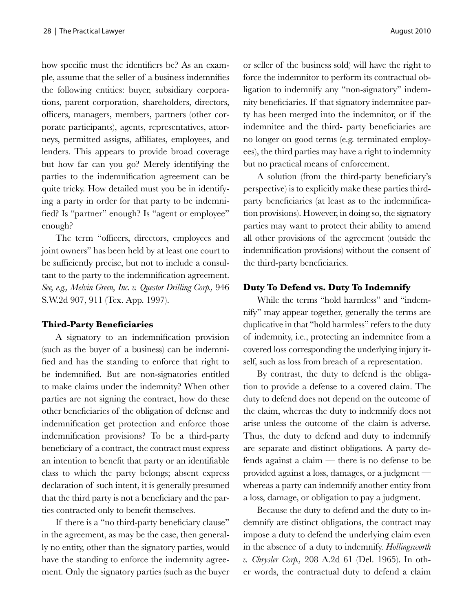how specific must the identifiers be? As an example, assume that the seller of a business indemnifies the following entities: buyer, subsidiary corporations, parent corporation, shareholders, directors, officers, managers, members, partners (other corporate participants), agents, representatives, attorneys, permitted assigns, affiliates, employees, and lenders. This appears to provide broad coverage but how far can you go? Merely identifying the parties to the indemnification agreement can be quite tricky. How detailed must you be in identifying a party in order for that party to be indemnified? Is "partner" enough? Is "agent or employee" enough?

The term "officers, directors, employees and joint owners" has been held by at least one court to be sufficiently precise, but not to include a consultant to the party to the indemnification agreement. *See, e.g., Melvin Green, Inc. v. Questor Drilling Corp.,* 946 S.W.2d 907, 911 (Tex. App. 1997).

#### **Third-Party Beneficiaries**

A signatory to an indemnification provision (such as the buyer of a business) can be indemnified and has the standing to enforce that right to be indemnified. But are non-signatories entitled to make claims under the indemnity? When other parties are not signing the contract, how do these other beneficiaries of the obligation of defense and indemnification get protection and enforce those indemnification provisions? To be a third-party beneficiary of a contract, the contract must express an intention to benefit that party or an identifiable class to which the party belongs; absent express declaration of such intent, it is generally presumed that the third party is not a beneficiary and the parties contracted only to benefit themselves.

If there is a "no third-party beneficiary clause" in the agreement, as may be the case, then generally no entity, other than the signatory parties, would have the standing to enforce the indemnity agreement. Only the signatory parties (such as the buyer or seller of the business sold) will have the right to force the indemnitor to perform its contractual obligation to indemnify any "non-signatory" indemnity beneficiaries. If that signatory indemnitee party has been merged into the indemnitor, or if the indemnitee and the third- party beneficiaries are no longer on good terms (e.g. terminated employees), the third parties may have a right to indemnity but no practical means of enforcement.

A solution (from the third-party beneficiary's perspective) is to explicitly make these parties thirdparty beneficiaries (at least as to the indemnification provisions). However, in doing so, the signatory parties may want to protect their ability to amend all other provisions of the agreement (outside the indemnification provisions) without the consent of the third-party beneficiaries.

## **Duty To Defend vs. Duty To Indemnify**

While the terms "hold harmless" and "indemnify" may appear together, generally the terms are duplicative in that "hold harmless" refers to the duty of indemnity, i.e., protecting an indemnitee from a covered loss corresponding the underlying injury itself, such as loss from breach of a representation.

By contrast, the duty to defend is the obligation to provide a defense to a covered claim. The duty to defend does not depend on the outcome of the claim, whereas the duty to indemnify does not arise unless the outcome of the claim is adverse. Thus, the duty to defend and duty to indemnify are separate and distinct obligations. A party defends against a claim — there is no defense to be provided against a loss, damages, or a judgment whereas a party can indemnify another entity from a loss, damage, or obligation to pay a judgment.

Because the duty to defend and the duty to indemnify are distinct obligations, the contract may impose a duty to defend the underlying claim even in the absence of a duty to indemnify. *Hollingsworth v. Chrysler Corp.,* 208 A.2d 61 (Del. 1965). In other words, the contractual duty to defend a claim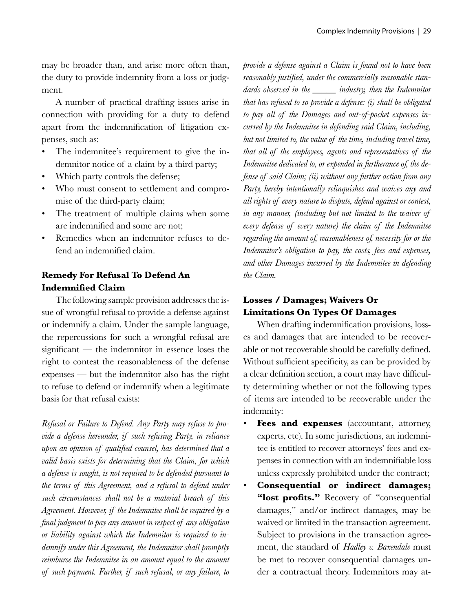may be broader than, and arise more often than, the duty to provide indemnity from a loss or judgment.

A number of practical drafting issues arise in connection with providing for a duty to defend apart from the indemnification of litigation expenses, such as:

- The indemnitee's requirement to give the indemnitor notice of a claim by a third party;
- Which party controls the defense;
- Who must consent to settlement and compromise of the third-party claim;
- The treatment of multiple claims when some are indemnified and some are not;
- Remedies when an indemnitor refuses to defend an indemnified claim.

## **Remedy For Refusal To Defend An Indemnified Claim**

The following sample provision addresses the issue of wrongful refusal to provide a defense against or indemnify a claim. Under the sample language, the repercussions for such a wrongful refusal are significant — the indemnitor in essence loses the right to contest the reasonableness of the defense expenses — but the indemnitor also has the right to refuse to defend or indemnify when a legitimate basis for that refusal exists:

*Refusal or Failure to Defend. Any Party may refuse to provide a defense hereunder, if such refusing Party, in reliance upon an opinion of qualified counsel, has determined that a valid basis exists for determining that the Claim, for which a defense is sought, is not required to be defended pursuant to the terms of this Agreement, and a refusal to defend under such circumstances shall not be a material breach of this Agreement. However, if the Indemnitee shall be required by a final judgment to pay any amount in respect of any obligation or liability against which the Indemnitor is required to indemnify under this Agreement, the Indemnitor shall promptly reimburse the Indemnitee in an amount equal to the amount of such payment. Further, if such refusal, or any failure, to* 

*provide a defense against a Claim is found not to have been reasonably justified, under the commercially reasonable standards observed in the \_\_\_\_\_ industry, then the Indemnitor that has refused to so provide a defense: (i) shall be obligated to pay all of the Damages and out-of-pocket expenses incurred by the Indemnitee in defending said Claim, including, but not limited to, the value of the time, including travel time, that all of the employees, agents and representatives of the Indemnitee dedicated to, or expended in furtherance of, the defense of said Claim; (ii) without any further action from any Party, hereby intentionally relinquishes and waives any and all rights of every nature to dispute, defend against or contest, in any manner, (including but not limited to the waiver of every defense of every nature) the claim of the Indemnitee regarding the amount of, reasonableness of, necessity for or the Indemnitor's obligation to pay, the costs, fees and expenses, and other Damages incurred by the Indemnitee in defending the Claim.* 

# **Losses / Damages; Waivers Or Limitations On Types Of Damages**

When drafting indemnification provisions, losses and damages that are intended to be recoverable or not recoverable should be carefully defined. Without sufficient specificity, as can be provided by a clear definition section, a court may have difficulty determining whether or not the following types of items are intended to be recoverable under the indemnity:

- **Fees and expenses** (accountant, attorney, experts, etc). In some jurisdictions, an indemnitee is entitled to recover attorneys' fees and expenses in connection with an indemnifiable loss unless expressly prohibited under the contract;
- **Consequential or indirect damages;**  "lost profits." Recovery of "consequential" damages," and/or indirect damages, may be waived or limited in the transaction agreement. Subject to provisions in the transaction agreement, the standard of *Hadley v. Baxendale* must be met to recover consequential damages under a contractual theory. Indemnitors may at-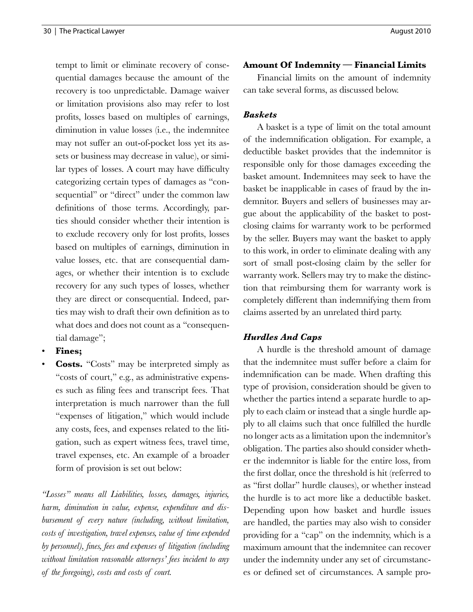tempt to limit or eliminate recovery of consequential damages because the amount of the recovery is too unpredictable. Damage waiver or limitation provisions also may refer to lost profits, losses based on multiples of earnings, diminution in value losses (i.e., the indemnitee may not suffer an out-of-pocket loss yet its assets or business may decrease in value), or similar types of losses. A court may have difficulty categorizing certain types of damages as "consequential" or "direct" under the common law definitions of those terms. Accordingly, parties should consider whether their intention is to exclude recovery only for lost profits, losses based on multiples of earnings, diminution in value losses, etc. that are consequential damages, or whether their intention is to exclude recovery for any such types of losses, whether they are direct or consequential. Indeed, parties may wish to draft their own definition as to what does and does not count as a "consequential damage";

- **Fines;**
- **Costs.** "Costs" may be interpreted simply as "costs of court," e.g., as administrative expenses such as filing fees and transcript fees. That interpretation is much narrower than the full "expenses of litigation," which would include any costs, fees, and expenses related to the litigation, such as expert witness fees, travel time, travel expenses, etc. An example of a broader form of provision is set out below:

*"Losses" means all Liabilities, losses, damages, injuries, harm, diminution in value, expense, expenditure and disbursement of every nature (including, without limitation, costs of investigation, travel expenses, value of time expended by personnel), fines, fees and expenses of litigation (including without limitation reasonable attorneys' fees incident to any of the foregoing), costs and costs of court.*

## **Amount Of Indemnity — Financial Limits**

Financial limits on the amount of indemnity can take several forms, as discussed below.

## *Baskets*

A basket is a type of limit on the total amount of the indemnification obligation. For example, a deductible basket provides that the indemnitor is responsible only for those damages exceeding the basket amount. Indemnitees may seek to have the basket be inapplicable in cases of fraud by the indemnitor. Buyers and sellers of businesses may argue about the applicability of the basket to postclosing claims for warranty work to be performed by the seller. Buyers may want the basket to apply to this work, in order to eliminate dealing with any sort of small post-closing claim by the seller for warranty work. Sellers may try to make the distinction that reimbursing them for warranty work is completely different than indemnifying them from claims asserted by an unrelated third party.

## *Hurdles And Caps*

A hurdle is the threshold amount of damage that the indemnitee must suffer before a claim for indemnification can be made. When drafting this type of provision, consideration should be given to whether the parties intend a separate hurdle to apply to each claim or instead that a single hurdle apply to all claims such that once fulfilled the hurdle no longer acts as a limitation upon the indemnitor's obligation. The parties also should consider whether the indemnitor is liable for the entire loss, from the first dollar, once the threshold is hit (referred to as "first dollar" hurdle clauses), or whether instead the hurdle is to act more like a deductible basket. Depending upon how basket and hurdle issues are handled, the parties may also wish to consider providing for a "cap" on the indemnity, which is a maximum amount that the indemnitee can recover under the indemnity under any set of circumstances or defined set of circumstances. A sample pro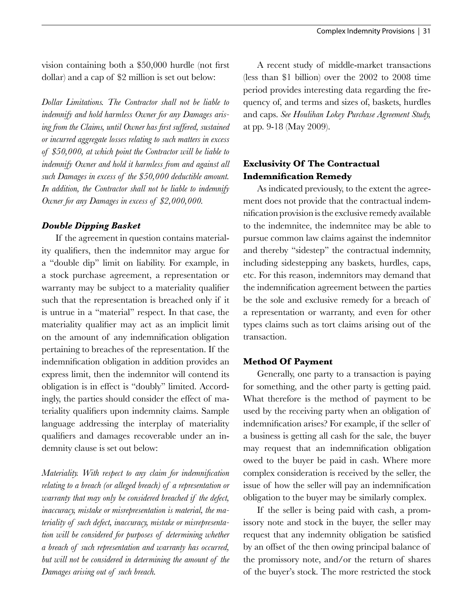vision containing both a \$50,000 hurdle (not first dollar) and a cap of \$2 million is set out below:

*Dollar Limitations. The Contractor shall not be liable to indemnify and hold harmless Owner for any Damages arising from the Claims, until Owner has first suffered, sustained or incurred aggregate losses relating to such matters in excess of \$50,000, at which point the Contractor will be liable to indemnify Owner and hold it harmless from and against all such Damages in excess of the \$50,000 deductible amount. In addition, the Contractor shall not be liable to indemnify Owner for any Damages in excess of \$2,000,000.*

#### *Double Dipping Basket*

If the agreement in question contains materiality qualifiers, then the indemnitor may argue for a "double dip" limit on liability. For example, in a stock purchase agreement, a representation or warranty may be subject to a materiality qualifier such that the representation is breached only if it is untrue in a "material" respect. In that case, the materiality qualifier may act as an implicit limit on the amount of any indemnification obligation pertaining to breaches of the representation. If the indemnification obligation in addition provides an express limit, then the indemnitor will contend its obligation is in effect is "doubly" limited. Accordingly, the parties should consider the effect of materiality qualifiers upon indemnity claims. Sample language addressing the interplay of materiality qualifiers and damages recoverable under an indemnity clause is set out below:

*Materiality. With respect to any claim for indemnification relating to a breach (or alleged breach) of a representation or warranty that may only be considered breached if the defect, inaccuracy, mistake or misrepresentation is material, the materiality of such defect, inaccuracy, mistake or misrepresentation will be considered for purposes of determining whether a breach of such representation and warranty has occurred, but will not be considered in determining the amount of the Damages arising out of such breach.*

A recent study of middle-market transactions (less than \$1 billion) over the 2002 to 2008 time period provides interesting data regarding the frequency of, and terms and sizes of, baskets, hurdles and caps. *See Houlihan Lokey Purchase Agreement Study,* at pp. 9-18 (May 2009).

# **Exclusivity Of The Contractual Indemnification Remedy**

As indicated previously, to the extent the agreement does not provide that the contractual indemnification provision is the exclusive remedy available to the indemnitee, the indemnitee may be able to pursue common law claims against the indemnitor and thereby "sidestep" the contractual indemnity, including sidestepping any baskets, hurdles, caps, etc. For this reason, indemnitors may demand that the indemnification agreement between the parties be the sole and exclusive remedy for a breach of a representation or warranty, and even for other types claims such as tort claims arising out of the transaction.

## **Method Of Payment**

Generally, one party to a transaction is paying for something, and the other party is getting paid. What therefore is the method of payment to be used by the receiving party when an obligation of indemnification arises? For example, if the seller of a business is getting all cash for the sale, the buyer may request that an indemnification obligation owed to the buyer be paid in cash. Where more complex consideration is received by the seller, the issue of how the seller will pay an indemnification obligation to the buyer may be similarly complex.

If the seller is being paid with cash, a promissory note and stock in the buyer, the seller may request that any indemnity obligation be satisfied by an offset of the then owing principal balance of the promissory note, and/or the return of shares of the buyer's stock. The more restricted the stock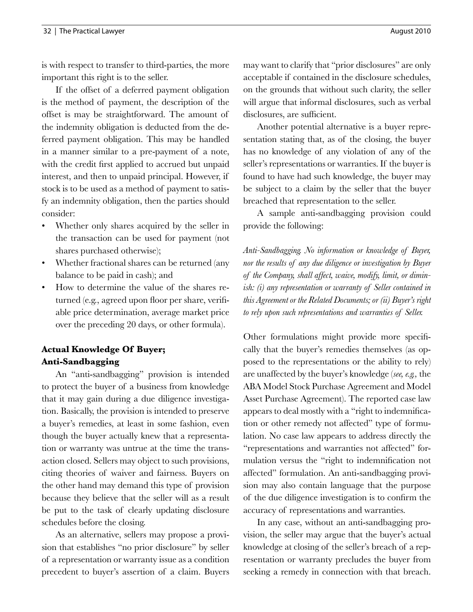is with respect to transfer to third-parties, the more important this right is to the seller.

If the offset of a deferred payment obligation is the method of payment, the description of the offset is may be straightforward. The amount of the indemnity obligation is deducted from the deferred payment obligation. This may be handled in a manner similar to a pre-payment of a note, with the credit first applied to accrued but unpaid interest, and then to unpaid principal. However, if stock is to be used as a method of payment to satisfy an indemnity obligation, then the parties should consider:

- Whether only shares acquired by the seller in the transaction can be used for payment (not shares purchased otherwise);
- Whether fractional shares can be returned (any balance to be paid in cash); and
- How to determine the value of the shares returned (e.g., agreed upon floor per share, verifiable price determination, average market price over the preceding 20 days, or other formula).

# **Actual Knowledge Of Buyer; Anti-Sandbagging**

An "anti-sandbagging" provision is intended to protect the buyer of a business from knowledge that it may gain during a due diligence investigation. Basically, the provision is intended to preserve a buyer's remedies, at least in some fashion, even though the buyer actually knew that a representation or warranty was untrue at the time the transaction closed. Sellers may object to such provisions, citing theories of waiver and fairness. Buyers on the other hand may demand this type of provision because they believe that the seller will as a result be put to the task of clearly updating disclosure schedules before the closing.

As an alternative, sellers may propose a provision that establishes "no prior disclosure" by seller of a representation or warranty issue as a condition precedent to buyer's assertion of a claim. Buyers

may want to clarify that "prior disclosures" are only acceptable if contained in the disclosure schedules, on the grounds that without such clarity, the seller will argue that informal disclosures, such as verbal disclosures, are sufficient.

Another potential alternative is a buyer representation stating that, as of the closing, the buyer has no knowledge of any violation of any of the seller's representations or warranties. If the buyer is found to have had such knowledge, the buyer may be subject to a claim by the seller that the buyer breached that representation to the seller.

A sample anti-sandbagging provision could provide the following:

*Anti-Sandbagging. No information or knowledge of Buyer, nor the results of any due diligence or investigation by Buyer of the Company, shall affect, waive, modify, limit, or diminish: (i) any representation or warranty of Seller contained in this Agreement or the Related Documents; or (ii) Buyer's right to rely upon such representations and warranties of Seller.* 

Other formulations might provide more specifically that the buyer's remedies themselves (as opposed to the representations or the ability to rely) are unaffected by the buyer's knowledge (*see, e.g.,* the ABA Model Stock Purchase Agreement and Model Asset Purchase Agreement). The reported case law appears to deal mostly with a "right to indemnification or other remedy not affected" type of formulation. No case law appears to address directly the "representations and warranties not affected" formulation versus the "right to indemnification not affected" formulation. An anti-sandbagging provision may also contain language that the purpose of the due diligence investigation is to confirm the accuracy of representations and warranties.

In any case, without an anti-sandbagging provision, the seller may argue that the buyer's actual knowledge at closing of the seller's breach of a representation or warranty precludes the buyer from seeking a remedy in connection with that breach.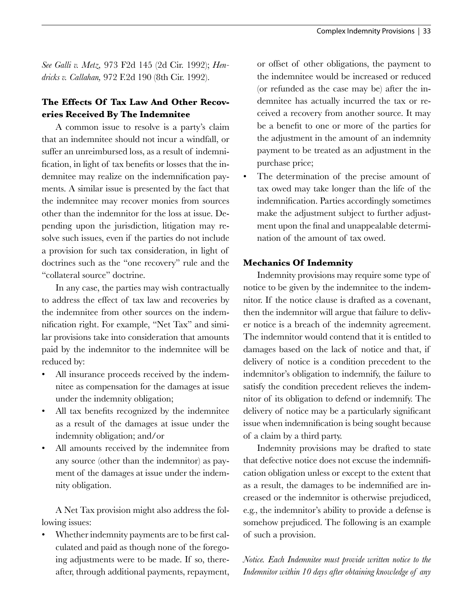*See Galli v. Metz,* 973 F2d 145 (2d Cir. 1992); *Hendricks v. Callahan,* 972 F.2d 190 (8th Cir. 1992).

# **The Effects Of Tax Law And Other Recoveries Received By The Indemnitee**

A common issue to resolve is a party's claim that an indemnitee should not incur a windfall, or suffer an unreimbursed loss, as a result of indemnification, in light of tax benefits or losses that the indemnitee may realize on the indemnification payments. A similar issue is presented by the fact that the indemnitee may recover monies from sources other than the indemnitor for the loss at issue. Depending upon the jurisdiction, litigation may resolve such issues, even if the parties do not include a provision for such tax consideration, in light of doctrines such as the "one recovery" rule and the "collateral source" doctrine.

In any case, the parties may wish contractually to address the effect of tax law and recoveries by the indemnitee from other sources on the indemnification right. For example, "Net Tax" and similar provisions take into consideration that amounts paid by the indemnitor to the indemnitee will be reduced by:

- All insurance proceeds received by the indemnitee as compensation for the damages at issue under the indemnity obligation;
- All tax benefits recognized by the indemnitee as a result of the damages at issue under the indemnity obligation; and/or
- All amounts received by the indemnitee from any source (other than the indemnitor) as payment of the damages at issue under the indemnity obligation.

A Net Tax provision might also address the following issues:

Whether indemnity payments are to be first calculated and paid as though none of the foregoing adjustments were to be made. If so, thereafter, through additional payments, repayment, or offset of other obligations, the payment to the indemnitee would be increased or reduced (or refunded as the case may be) after the indemnitee has actually incurred the tax or received a recovery from another source. It may be a benefit to one or more of the parties for the adjustment in the amount of an indemnity payment to be treated as an adjustment in the purchase price;

The determination of the precise amount of tax owed may take longer than the life of the indemnification. Parties accordingly sometimes make the adjustment subject to further adjustment upon the final and unappealable determination of the amount of tax owed.

## **Mechanics Of Indemnity**

Indemnity provisions may require some type of notice to be given by the indemnitee to the indemnitor. If the notice clause is drafted as a covenant, then the indemnitor will argue that failure to deliver notice is a breach of the indemnity agreement. The indemnitor would contend that it is entitled to damages based on the lack of notice and that, if delivery of notice is a condition precedent to the indemnitor's obligation to indemnify, the failure to satisfy the condition precedent relieves the indemnitor of its obligation to defend or indemnify. The delivery of notice may be a particularly significant issue when indemnification is being sought because of a claim by a third party.

Indemnity provisions may be drafted to state that defective notice does not excuse the indemnification obligation unless or except to the extent that as a result, the damages to be indemnified are increased or the indemnitor is otherwise prejudiced, e.g., the indemnitor's ability to provide a defense is somehow prejudiced. The following is an example of such a provision.

*Notice. Each Indemnitee must provide written notice to the Indemnitor within 10 days after obtaining knowledge of any*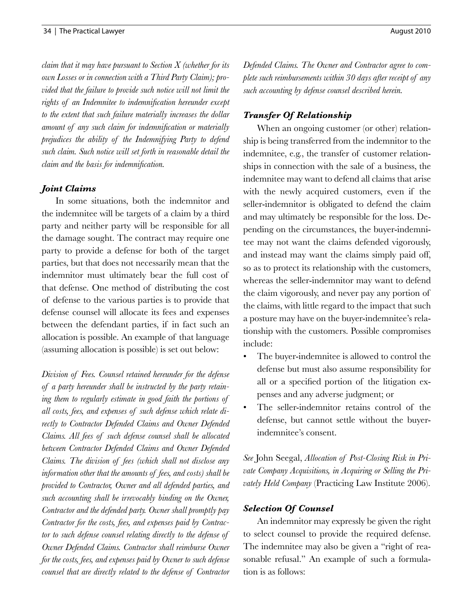*claim that it may have pursuant to Section X (whether for its own Losses or in connection with a Third Party Claim); provided that the failure to provide such notice will not limit the rights of an Indemnitee to indemnification hereunder except to the extent that such failure materially increases the dollar amount of any such claim for indemnification or materially prejudices the ability of the Indemnifying Party to defend such claim. Such notice will set forth in reasonable detail the claim and the basis for indemnification.*

#### *Joint Claims*

In some situations, both the indemnitor and the indemnitee will be targets of a claim by a third party and neither party will be responsible for all the damage sought. The contract may require one party to provide a defense for both of the target parties, but that does not necessarily mean that the indemnitor must ultimately bear the full cost of that defense. One method of distributing the cost of defense to the various parties is to provide that defense counsel will allocate its fees and expenses between the defendant parties, if in fact such an allocation is possible. An example of that language (assuming allocation is possible) is set out below:

*Division of Fees. Counsel retained hereunder for the defense of a party hereunder shall be instructed by the party retaining them to regularly estimate in good faith the portions of all costs, fees, and expenses of such defense which relate directly to Contractor Defended Claims and Owner Defended Claims. All fees of such defense counsel shall be allocated between Contractor Defended Claims and Owner Defended Claims. The division of fees (which shall not disclose any information other that the amounts of fees, and costs) shall be provided to Contractor, Owner and all defended parties, and such accounting shall be irrevocably binding on the Owner, Contractor and the defended party. Owner shall promptly pay Contractor for the costs, fees, and expenses paid by Contractor to such defense counsel relating directly to the defense of Owner Defended Claims. Contractor shall reimburse Owner for the costs, fees, and expenses paid by Owner to such defense counsel that are directly related to the defense of Contractor* 

*Defended Claims. The Owner and Contractor agree to complete such reimbursements within 30 days after receipt of any such accounting by defense counsel described herein.*

#### *Transfer Of Relationship*

When an ongoing customer (or other) relationship is being transferred from the indemnitor to the indemnitee, e.g., the transfer of customer relationships in connection with the sale of a business, the indemnitee may want to defend all claims that arise with the newly acquired customers, even if the seller-indemnitor is obligated to defend the claim and may ultimately be responsible for the loss. Depending on the circumstances, the buyer-indemnitee may not want the claims defended vigorously, and instead may want the claims simply paid off, so as to protect its relationship with the customers, whereas the seller-indemnitor may want to defend the claim vigorously, and never pay any portion of the claims, with little regard to the impact that such a posture may have on the buyer-indemnitee's relationship with the customers. Possible compromises include:

- The buyer-indemnitee is allowed to control the defense but must also assume responsibility for all or a specified portion of the litigation expenses and any adverse judgment; or
- The seller-indemnitor retains control of the defense, but cannot settle without the buyerindemnitee's consent.

*See* John Seegal, *Allocation of Post-Closing Risk in Private Company Acquisitions, in Acquiring or Selling the Privately Held Company* (Practicing Law Institute 2006).

#### *Selection Of Counsel*

An indemnitor may expressly be given the right to select counsel to provide the required defense. The indemnitee may also be given a "right of reasonable refusal." An example of such a formulation is as follows: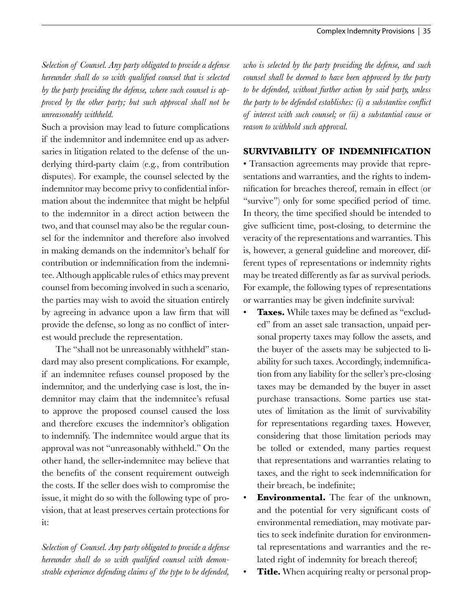*Selection of Counsel. Any party obligated to provide a defense hereunder shall do so with qualified counsel that is selected by the party providing the defense, where such counsel is approved by the other party; but such approval shall not be unreasonably withheld.* 

Such a provision may lead to future complications if the indemnitor and indemnitee end up as adversaries in litigation related to the defense of the underlying third-party claim (e.g., from contribution disputes). For example, the counsel selected by the indemnitor may become privy to confidential information about the indemnitee that might be helpful to the indemnitor in a direct action between the two, and that counsel may also be the regular counsel for the indemnitor and therefore also involved in making demands on the indemnitor's behalf for contribution or indemnification from the indemnitee. Although applicable rules of ethics may prevent counsel from becoming involved in such a scenario, the parties may wish to avoid the situation entirely by agreeing in advance upon a law firm that will provide the defense, so long as no conflict of interest would preclude the representation.

The "shall not be unreasonably withheld" standard may also present complications. For example, if an indemnitee refuses counsel proposed by the indemnitor, and the underlying case is lost, the indemnitor may claim that the indemnitee's refusal to approve the proposed counsel caused the loss and therefore excuses the indemnitor's obligation to indemnify. The indemnitee would argue that its approval was not "unreasonably withheld." On the other hand, the seller-indemnitee may believe that the benefits of the consent requirement outweigh the costs. If the seller does wish to compromise the issue, it might do so with the following type of provision, that at least preserves certain protections for it:

*Selection of Counsel. Any party obligated to provide a defense hereunder shall do so with qualified counsel with demonstrable experience defending claims of the type to be defended,*  *who is selected by the party providing the defense, and such counsel shall be deemed to have been approved by the party to be defended, without further action by said party, unless the party to be defended establishes: (i) a substantive conflict of interest with such counsel; or (ii) a substantial cause or reason to withhold such approval.*

## **SURVIVABILITY OF INDEMNIFICATION**

• Transaction agreements may provide that representations and warranties, and the rights to indemnification for breaches thereof, remain in effect (or "survive") only for some specified period of time. In theory, the time specified should be intended to give sufficient time, post-closing, to determine the veracity of the representations and warranties. This is, however, a general guideline and moreover, different types of representations or indemnity rights may be treated differently as far as survival periods. For example, the following types of representations or warranties may be given indefinite survival:

- **Taxes.** While taxes may be defined as "excluded" from an asset sale transaction, unpaid personal property taxes may follow the assets, and the buyer of the assets may be subjected to liability for such taxes. Accordingly, indemnification from any liability for the seller's pre-closing taxes may be demanded by the buyer in asset purchase transactions. Some parties use statutes of limitation as the limit of survivability for representations regarding taxes. However, considering that those limitation periods may be tolled or extended, many parties request that representations and warranties relating to taxes, and the right to seek indemnification for their breach, be indefinite;
- **Environmental.** The fear of the unknown, and the potential for very significant costs of environmental remediation, may motivate parties to seek indefinite duration for environmental representations and warranties and the related right of indemnity for breach thereof;
- **Title.** When acquiring realty or personal prop-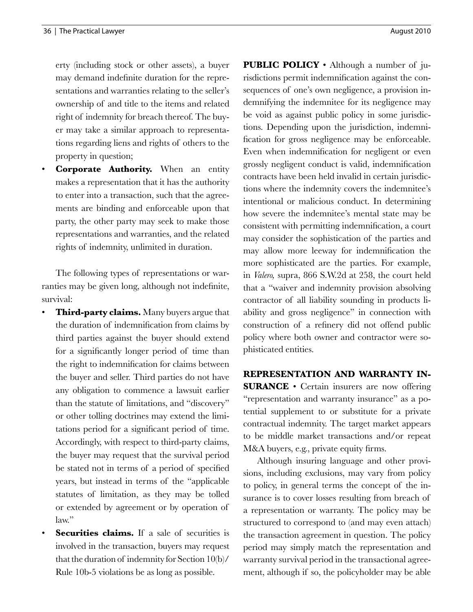erty (including stock or other assets), a buyer may demand indefinite duration for the representations and warranties relating to the seller's ownership of and title to the items and related right of indemnity for breach thereof. The buyer may take a similar approach to representations regarding liens and rights of others to the property in question;

• **Corporate Authority.** When an entity makes a representation that it has the authority to enter into a transaction, such that the agreements are binding and enforceable upon that party, the other party may seek to make those representations and warranties, and the related rights of indemnity, unlimited in duration.

The following types of representations or warranties may be given long, although not indefinite, survival:

- **Third-party claims.** Many buyers argue that the duration of indemnification from claims by third parties against the buyer should extend for a significantly longer period of time than the right to indemnification for claims between the buyer and seller. Third parties do not have any obligation to commence a lawsuit earlier than the statute of limitations, and "discovery" or other tolling doctrines may extend the limitations period for a significant period of time. Accordingly, with respect to third-party claims, the buyer may request that the survival period be stated not in terms of a period of specified years, but instead in terms of the "applicable statutes of limitation, as they may be tolled or extended by agreement or by operation of law."
- Securities claims. If a sale of securities is involved in the transaction, buyers may request that the duration of indemnity for Section 10(b)/ Rule 10b-5 violations be as long as possible.

**PUBLIC POLICY** • Although a number of jurisdictions permit indemnification against the consequences of one's own negligence, a provision indemnifying the indemnitee for its negligence may be void as against public policy in some jurisdictions. Depending upon the jurisdiction, indemnification for gross negligence may be enforceable. Even when indemnification for negligent or even grossly negligent conduct is valid, indemnification contracts have been held invalid in certain jurisdictions where the indemnity covers the indemnitee's intentional or malicious conduct. In determining how severe the indemnitee's mental state may be consistent with permitting indemnification, a court may consider the sophistication of the parties and may allow more leeway for indemnification the more sophisticated are the parties. For example, in *Valero,* supra, 866 S.W.2d at 258, the court held that a "waiver and indemnity provision absolving contractor of all liability sounding in products liability and gross negligence" in connection with construction of a refinery did not offend public policy where both owner and contractor were sophisticated entities.

**REPRESENTATION AND WARRANTY IN-SURANCE** • Certain insurers are now offering "representation and warranty insurance" as a potential supplement to or substitute for a private contractual indemnity. The target market appears to be middle market transactions and/or repeat M&A buyers, e.g., private equity firms.

Although insuring language and other provisions, including exclusions, may vary from policy to policy, in general terms the concept of the insurance is to cover losses resulting from breach of a representation or warranty. The policy may be structured to correspond to (and may even attach) the transaction agreement in question. The policy period may simply match the representation and warranty survival period in the transactional agreement, although if so, the policyholder may be able